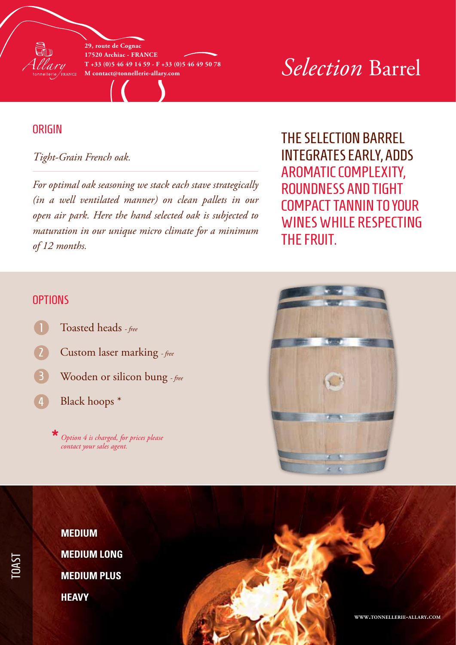

**29, route de Cognac 17520 Archiac - France T +33 (0)5 46 49 14 59 - F +33 (0)5 46 49 50 78**

# $\sum_{M \text{ contact}\@text{tonnell}$  contact@tonnellerie-allary.com *Selection* Barrel

# **ORIGIN**

### *Tight-Grain French oak.*

*For optimal oak seasoning we stack each stave strategically (in a well ventilated manner) on clean pallets in our open air park. Here the hand selected oak is subjected to maturation in our unique micro climate for a minimum of 12 months.*

The Selection barrel integrates early, adds aromatic complexity, roundness and tight compact tannin to your wines while respecting the fruit.

### **OPTIONS**

TOAST

- Toasted heads  *free*
- Custom laser marking  *free*
- Wooden or silicon bung  *free* 3
- Black hoops \*  $\left( 4\right)$

*Option 4 is charged, for prices please contact your sales agent.* **\***





**www.tonnellerie-allary.com**